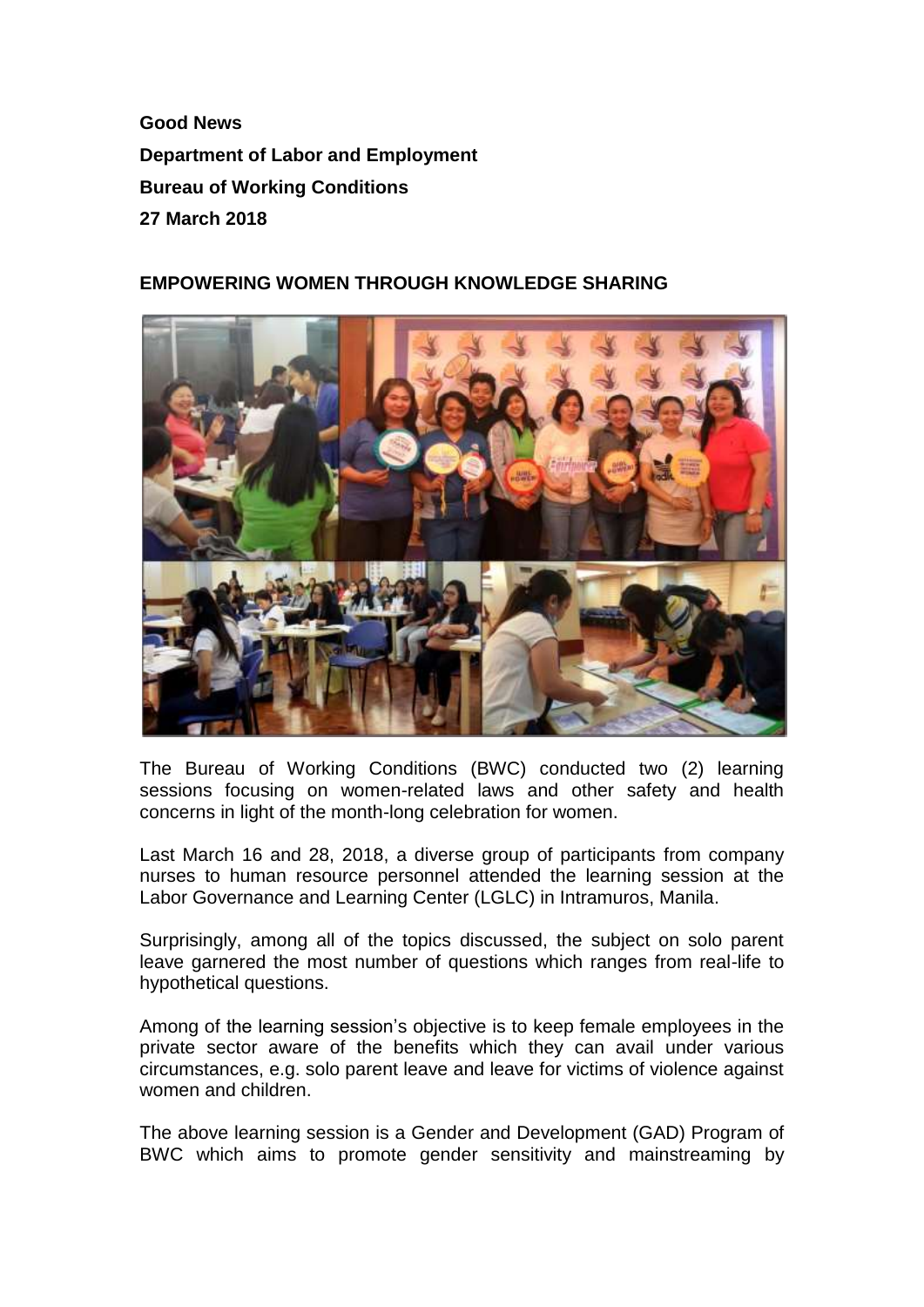**Good News Department of Labor and Employment Bureau of Working Conditions 27 March 2018**

## **EMPOWERING WOMEN THROUGH KNOWLEDGE SHARING**



The Bureau of Working Conditions (BWC) conducted two (2) learning sessions focusing on women-related laws and other safety and health concerns in light of the month-long celebration for women.

Last March 16 and 28, 2018, a diverse group of participants from company nurses to human resource personnel attended the learning session at the Labor Governance and Learning Center (LGLC) in Intramuros, Manila.

Surprisingly, among all of the topics discussed, the subject on solo parent leave garnered the most number of questions which ranges from real-life to hypothetical questions.

Among of the learning session's objective is to keep female employees in the private sector aware of the benefits which they can avail under various circumstances, e.g. solo parent leave and leave for victims of violence against women and children.

The above learning session is a Gender and Development (GAD) Program of BWC which aims to promote gender sensitivity and mainstreaming by